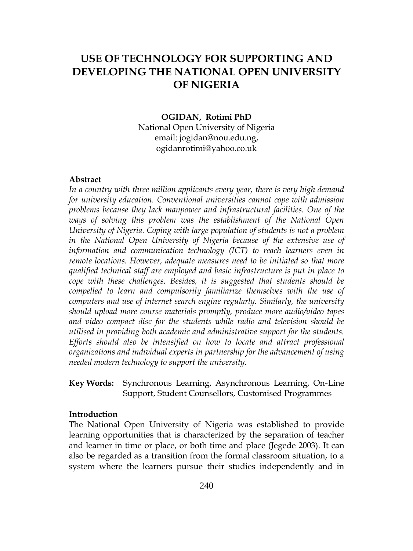# **USE OF TECHNOLOGY FOR SUPPORTING AND DEVELOPING THE NATIONAL OPEN UNIVERSITY OF NIGERIA**

# **OGIDAN, Rotimi PhD**

National Open University of Nigeria email: jogidan@nou.edu.ng, ogidanrotimi@yahoo.co.uk

#### **Abstract**

In a country with three million applicants every year, there is very high demand *for university education. Conventional universities cannot cope with admission problems because they lack manpower and infrastructural facilities. One of the ways of solving this problem was the establishment of the National Open University of Nigeria. Coping with large population of students is not a problem in the National Open University of Nigeria because of the extensive use of information and communication technology (ICT) to reach learners even in remote locations. However, adequate measures need to be initiated so that more qualified technical staff are employed and basic infrastructure is put in place to cope with these challenges. Besides, it is suggested that students should be compelled to learn and compulsorily familiarize themselves with the use of computers and use of internet search engine regularly. Similarly, the university should upload more course materials promptly, produce more audio/video tapes and video compact disc for the students while radio and television should be utilised in providing both academic and administrative support for the students. Efforts should also be intensified on how to locate and attract professional organizations and individual experts in partnership for the advancement of using needed modern technology to support the university.*

**Key Words:** Synchronous Learning, Asynchronous Learning, On-Line Support, Student Counsellors, Customised Programmes

# **Introduction**

The National Open University of Nigeria was established to provide learning opportunities that is characterized by the separation of teacher and learner in time or place, or both time and place (Jegede 2003). It can also be regarded as a transition from the formal classroom situation, to a system where the learners pursue their studies independently and in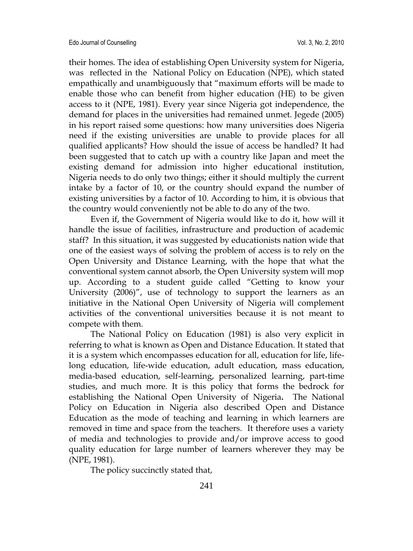their homes. The idea of establishing Open University system for Nigeria, was reflected in the National Policy on Education (NPE), which stated empathically and unambiguously that "maximum efforts will be made to enable those who can benefit from higher education (HE) to be given access to it (NPE, 1981). Every year since Nigeria got independence, the demand for places in the universities had remained unmet. Jegede (2005) in his report raised some questions: how many universities does Nigeria need if the existing universities are unable to provide places for all qualified applicants? How should the issue of access be handled? It had been suggested that to catch up with a country like Japan and meet the existing demand for admission into higher educational institution, Nigeria needs to do only two things; either it should multiply the current intake by a factor of 10, or the country should expand the number of existing universities by a factor of 10. According to him, it is obvious that the country would conveniently not be able to do any of the two.

Even if, the Government of Nigeria would like to do it, how will it handle the issue of facilities, infrastructure and production of academic staff? In this situation, it was suggested by educationists nation wide that one of the easiest ways of solving the problem of access is to rely on the Open University and Distance Learning, with the hope that what the conventional system cannot absorb, the Open University system will mop up. According to a student guide called "Getting to know your University (2006)", use of technology to support the learners as an initiative in the National Open University of Nigeria will complement activities of the conventional universities because it is not meant to compete with them.

The National Policy on Education (1981) is also very explicit in referring to what is known as Open and Distance Education. It stated that it is a system which encompasses education for all, education for life, lifelong education, life-wide education, adult education, mass education, media-based education, self-learning, personalized learning, part-time studies, and much more. It is this policy that forms the bedrock for establishing the National Open University of Nigeria**.** The National Policy on Education in Nigeria also described Open and Distance Education as the mode of teaching and learning in which learners are removed in time and space from the teachers. It therefore uses a variety of media and technologies to provide and/or improve access to good quality education for large number of learners wherever they may be (NPE, 1981).

The policy succinctly stated that,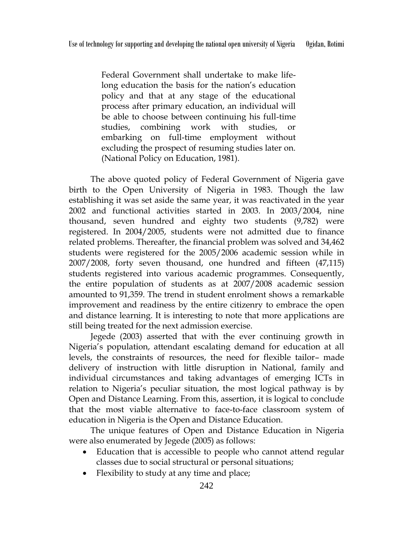Federal Government shall undertake to make lifelong education the basis for the nation's education policy and that at any stage of the educational process after primary education, an individual will be able to choose between continuing his full-time studies, combining work with studies, or embarking on full-time employment without excluding the prospect of resuming studies later on. (National Policy on Education, 1981).

The above quoted policy of Federal Government of Nigeria gave birth to the Open University of Nigeria in 1983. Though the law establishing it was set aside the same year, it was reactivated in the year 2002 and functional activities started in 2003. In 2003/2004, nine thousand, seven hundred and eighty two students (9,782) were registered. In 2004/2005, students were not admitted due to finance related problems. Thereafter, the financial problem was solved and 34,462 students were registered for the 2005/2006 academic session while in 2007/2008, forty seven thousand, one hundred and fifteen (47,115) students registered into various academic programmes. Consequently, the entire population of students as at 2007/2008 academic session amounted to 91,359. The trend in student enrolment shows a remarkable improvement and readiness by the entire citizenry to embrace the open and distance learning. It is interesting to note that more applications are still being treated for the next admission exercise.

Jegede (2003) asserted that with the ever continuing growth in Nigeria's population, attendant escalating demand for education at all levels, the constraints of resources, the need for flexible tailor– made delivery of instruction with little disruption in National, family and individual circumstances and taking advantages of emerging ICTs in relation to Nigeria's peculiar situation, the most logical pathway is by Open and Distance Learning. From this, assertion, it is logical to conclude that the most viable alternative to face-to-face classroom system of education in Nigeria is the Open and Distance Education.

The unique features of Open and Distance Education in Nigeria were also enumerated by Jegede (2005) as follows:

- Education that is accessible to people who cannot attend regular classes due to social structural or personal situations;
- Flexibility to study at any time and place;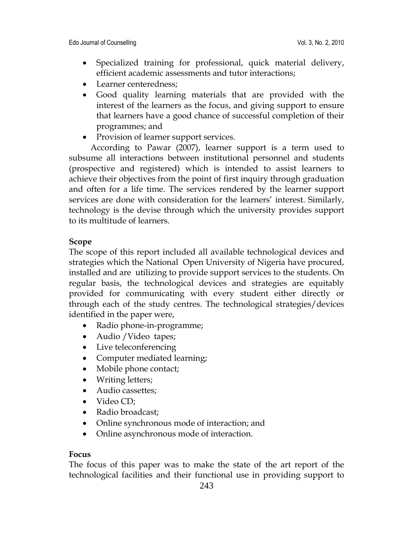- Specialized training for professional, quick material delivery, efficient academic assessments and tutor interactions;
- Learner centeredness;
- Good quality learning materials that are provided with the interest of the learners as the focus, and giving support to ensure that learners have a good chance of successful completion of their programmes; and
- Provision of learner support services.

According to Pawar (2007), learner support is a term used to subsume all interactions between institutional personnel and students (prospective and registered) which is intended to assist learners to achieve their objectives from the point of first inquiry through graduation and often for a life time. The services rendered by the learner support services are done with consideration for the learners' interest. Similarly, technology is the devise through which the university provides support to its multitude of learners.

# **Scope**

The scope of this report included all available technological devices and strategies which the National Open University of Nigeria have procured, installed and are utilizing to provide support services to the students. On regular basis, the technological devices and strategies are equitably provided for communicating with every student either directly or through each of the study centres. The technological strategies/devices identified in the paper were,

- Radio phone-in-programme;
- Audio /Video tapes;
- Live teleconferencing
- Computer mediated learning;
- Mobile phone contact;
- Writing letters;
- Audio cassettes;
- Video CD;
- Radio broadcast;
- Online synchronous mode of interaction; and
- Online asynchronous mode of interaction.

# **Focus**

The focus of this paper was to make the state of the art report of the technological facilities and their functional use in providing support to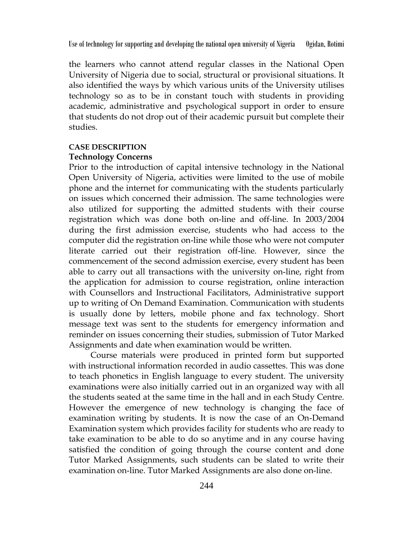the learners who cannot attend regular classes in the National Open University of Nigeria due to social, structural or provisional situations. It also identified the ways by which various units of the University utilises technology so as to be in constant touch with students in providing academic, administrative and psychological support in order to ensure that students do not drop out of their academic pursuit but complete their studies.

#### **CASE DESCRIPTION**

## **Technology Concerns**

Prior to the introduction of capital intensive technology in the National Open University of Nigeria, activities were limited to the use of mobile phone and the internet for communicating with the students particularly on issues which concerned their admission. The same technologies were also utilized for supporting the admitted students with their course registration which was done both on-line and off-line. In 2003/2004 during the first admission exercise, students who had access to the computer did the registration on-line while those who were not computer literate carried out their registration off-line. However, since the commencement of the second admission exercise, every student has been able to carry out all transactions with the university on-line, right from the application for admission to course registration, online interaction with Counsellors and Instructional Facilitators, Administrative support up to writing of On Demand Examination. Communication with students is usually done by letters, mobile phone and fax technology. Short message text was sent to the students for emergency information and reminder on issues concerning their studies, submission of Tutor Marked Assignments and date when examination would be written.

Course materials were produced in printed form but supported with instructional information recorded in audio cassettes. This was done to teach phonetics in English language to every student. The university examinations were also initially carried out in an organized way with all the students seated at the same time in the hall and in each Study Centre. However the emergence of new technology is changing the face of examination writing by students. It is now the case of an On-Demand Examination system which provides facility for students who are ready to take examination to be able to do so anytime and in any course having satisfied the condition of going through the course content and done Tutor Marked Assignments, such students can be slated to write their examination on-line. Tutor Marked Assignments are also done on-line.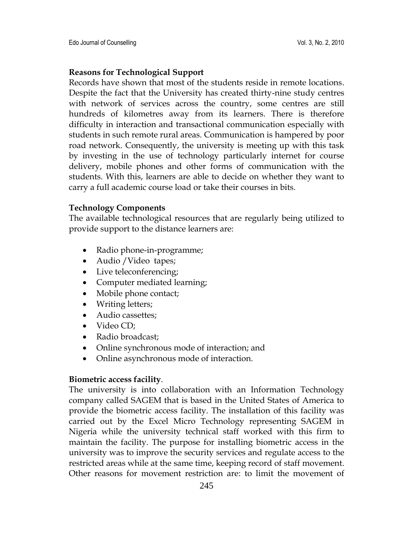# **Reasons for Technological Support**

Records have shown that most of the students reside in remote locations. Despite the fact that the University has created thirty-nine study centres with network of services across the country, some centres are still hundreds of kilometres away from its learners. There is therefore difficulty in interaction and transactional communication especially with students in such remote rural areas. Communication is hampered by poor road network. Consequently, the university is meeting up with this task by investing in the use of technology particularly internet for course delivery, mobile phones and other forms of communication with the students. With this, learners are able to decide on whether they want to carry a full academic course load or take their courses in bits.

# **Technology Components**

The available technological resources that are regularly being utilized to provide support to the distance learners are:

- Radio phone-in-programme;
- Audio / Video tapes;
- Live teleconferencing;
- Computer mediated learning;
- Mobile phone contact;
- Writing letters;
- Audio cassettes;
- Video CD;
- Radio broadcast;
- Online synchronous mode of interaction; and
- Online asynchronous mode of interaction.

#### **Biometric access facility**.

The university is into collaboration with an Information Technology company called SAGEM that is based in the United States of America to provide the biometric access facility. The installation of this facility was carried out by the Excel Micro Technology representing SAGEM in Nigeria while the university technical staff worked with this firm to maintain the facility. The purpose for installing biometric access in the university was to improve the security services and regulate access to the restricted areas while at the same time, keeping record of staff movement. Other reasons for movement restriction are: to limit the movement of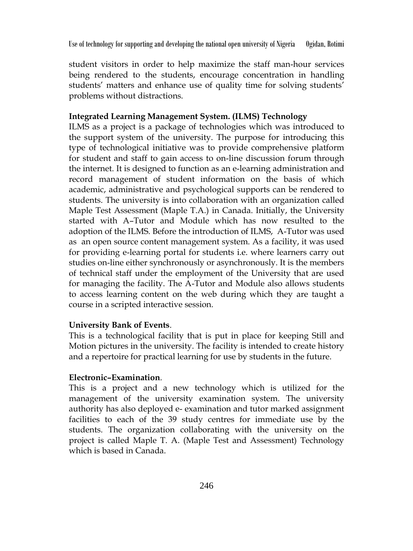student visitors in order to help maximize the staff man-hour services being rendered to the students, encourage concentration in handling students' matters and enhance use of quality time for solving students' problems without distractions.

# **Integrated Learning Management System. (ILMS) Technology**

ILMS as a project is a package of technologies which was introduced to the support system of the university. The purpose for introducing this type of technological initiative was to provide comprehensive platform for student and staff to gain access to on-line discussion forum through the internet. It is designed to function as an e-learning administration and record management of student information on the basis of which academic, administrative and psychological supports can be rendered to students. The university is into collaboration with an organization called Maple Test Assessment (Maple T.A.) in Canada. Initially, the University started with A–Tutor and Module which has now resulted to the adoption of the ILMS. Before the introduction of ILMS, A-Tutor was used as an open source content management system. As a facility, it was used for providing e-learning portal for students i.e. where learners carry out studies on-line either synchronously or asynchronously. It is the members of technical staff under the employment of the University that are used for managing the facility. The A-Tutor and Module also allows students to access learning content on the web during which they are taught a course in a scripted interactive session.

# **University Bank of Events**.

This is a technological facility that is put in place for keeping Still and Motion pictures in the university. The facility is intended to create history and a repertoire for practical learning for use by students in the future.

# **Electronic–Examination**.

This is a project and a new technology which is utilized for the management of the university examination system. The university authority has also deployed e- examination and tutor marked assignment facilities to each of the 39 study centres for immediate use by the students. The organization collaborating with the university on the project is called Maple T. A. (Maple Test and Assessment) Technology which is based in Canada.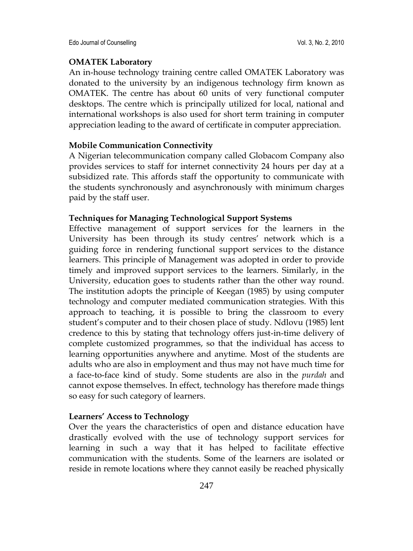#### **OMATEK Laboratory**

An in-house technology training centre called OMATEK Laboratory was donated to the university by an indigenous technology firm known as OMATEK. The centre has about 60 units of very functional computer desktops. The centre which is principally utilized for local, national and international workshops is also used for short term training in computer appreciation leading to the award of certificate in computer appreciation.

#### **Mobile Communication Connectivity**

A Nigerian telecommunication company called Globacom Company also provides services to staff for internet connectivity 24 hours per day at a subsidized rate. This affords staff the opportunity to communicate with the students synchronously and asynchronously with minimum charges paid by the staff user.

# **Techniques for Managing Technological Support Systems**

Effective management of support services for the learners in the University has been through its study centres' network which is a guiding force in rendering functional support services to the distance learners. This principle of Management was adopted in order to provide timely and improved support services to the learners. Similarly, in the University, education goes to students rather than the other way round. The institution adopts the principle of Keegan (1985) by using computer technology and computer mediated communication strategies. With this approach to teaching, it is possible to bring the classroom to every student"s computer and to their chosen place of study. Ndlovu (1985) lent credence to this by stating that technology offers just-in-time delivery of complete customized programmes, so that the individual has access to learning opportunities anywhere and anytime. Most of the students are adults who are also in employment and thus may not have much time for a face-to-face kind of study. Some students are also in the *purdah* and cannot expose themselves. In effect, technology has therefore made things so easy for such category of learners.

# **Learners' Access to Technology**

Over the years the characteristics of open and distance education have drastically evolved with the use of technology support services for learning in such a way that it has helped to facilitate effective communication with the students. Some of the learners are isolated or reside in remote locations where they cannot easily be reached physically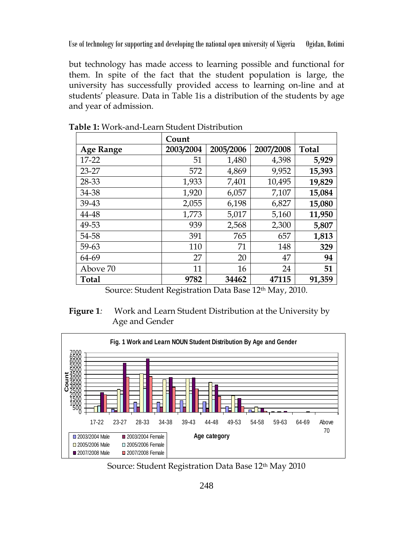but technology has made access to learning possible and functional for them. In spite of the fact that the student population is large, the university has successfully provided access to learning on-line and at students' pleasure. Data in Table 1 is a distribution of the students by age and year of admission.

|                  | Count     |           |           |              |
|------------------|-----------|-----------|-----------|--------------|
| <b>Age Range</b> | 2003/2004 | 2005/2006 | 2007/2008 | <b>Total</b> |
| 17-22            | 51        | 1,480     | 4,398     | 5,929        |
| $23 - 27$        | 572       | 4,869     | 9,952     | 15,393       |
| 28-33            | 1,933     | 7,401     | 10,495    | 19,829       |
| 34-38            | 1,920     | 6,057     | 7,107     | 15,084       |
| 39-43            | 2,055     | 6,198     | 6,827     | 15,080       |
| 44-48            | 1,773     | 5,017     | 5,160     | 11,950       |
| 49-53            | 939       | 2,568     | 2,300     | 5,807        |
| 54-58            | 391       | 765       | 657       | 1,813        |
| 59-63            | 110       | 71        | 148       | 329          |
| 64-69            | 27        | 20        | 47        | 94           |
| Above 70         | 11        | 16        | 24        | 51           |
| Total            | 9782      | 34462     | 47115     | 91,359       |

**Table 1:** Work-and-Learn Student Distribution

Source: Student Registration Data Base 12th May, 2010.

# **Figure 1***:* Work and Learn Student Distribution at the University by Age and Gender



Source: Student Registration Data Base 12<sup>th</sup> May 2010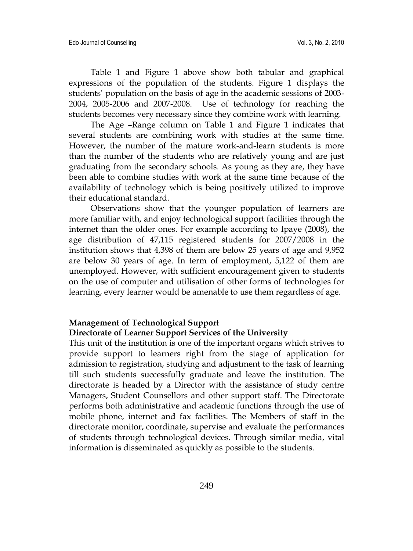Table 1 and Figure 1 above show both tabular and graphical expressions of the population of the students. Figure 1 displays the students' population on the basis of age in the academic sessions of 2003-2004, 2005-2006 and 2007-2008. Use of technology for reaching the students becomes very necessary since they combine work with learning.

The Age –Range column on Table 1 and Figure 1 indicates that several students are combining work with studies at the same time. However, the number of the mature work-and-learn students is more than the number of the students who are relatively young and are just graduating from the secondary schools. As young as they are, they have been able to combine studies with work at the same time because of the availability of technology which is being positively utilized to improve their educational standard.

Observations show that the younger population of learners are more familiar with, and enjoy technological support facilities through the internet than the older ones. For example according to Ipaye (2008), the age distribution of 47,115 registered students for 2007/2008 in the institution shows that 4,398 of them are below 25 years of age and 9,952 are below 30 years of age. In term of employment, 5,122 of them are unemployed. However, with sufficient encouragement given to students on the use of computer and utilisation of other forms of technologies for learning, every learner would be amenable to use them regardless of age.

# **Management of Technological Support Directorate of Learner Support Services of the University**

This unit of the institution is one of the important organs which strives to provide support to learners right from the stage of application for admission to registration, studying and adjustment to the task of learning till such students successfully graduate and leave the institution. The directorate is headed by a Director with the assistance of study centre Managers, Student Counsellors and other support staff. The Directorate performs both administrative and academic functions through the use of mobile phone, internet and fax facilities. The Members of staff in the directorate monitor, coordinate, supervise and evaluate the performances of students through technological devices. Through similar media, vital information is disseminated as quickly as possible to the students.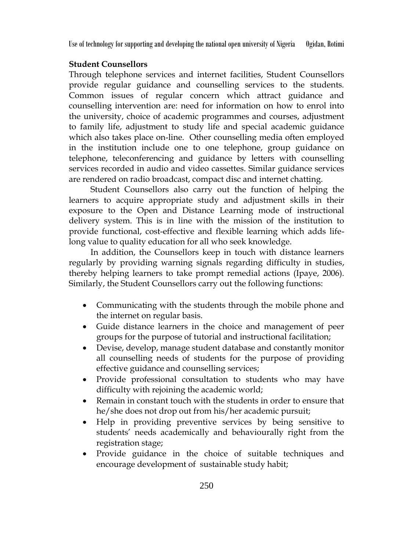# **Student Counsellors**

Through telephone services and internet facilities, Student Counsellors provide regular guidance and counselling services to the students. Common issues of regular concern which attract guidance and counselling intervention are: need for information on how to enrol into the university, choice of academic programmes and courses, adjustment to family life, adjustment to study life and special academic guidance which also takes place on-line. Other counselling media often employed in the institution include one to one telephone, group guidance on telephone, teleconferencing and guidance by letters with counselling services recorded in audio and video cassettes. Similar guidance services are rendered on radio broadcast, compact disc and internet chatting.

Student Counsellors also carry out the function of helping the learners to acquire appropriate study and adjustment skills in their exposure to the Open and Distance Learning mode of instructional delivery system. This is in line with the mission of the institution to provide functional, cost-effective and flexible learning which adds lifelong value to quality education for all who seek knowledge.

In addition, the Counsellors keep in touch with distance learners regularly by providing warning signals regarding difficulty in studies, thereby helping learners to take prompt remedial actions (Ipaye, 2006). Similarly, the Student Counsellors carry out the following functions:

- Communicating with the students through the mobile phone and the internet on regular basis.
- Guide distance learners in the choice and management of peer groups for the purpose of tutorial and instructional facilitation;
- Devise, develop, manage student database and constantly monitor all counselling needs of students for the purpose of providing effective guidance and counselling services;
- Provide professional consultation to students who may have difficulty with rejoining the academic world;
- Remain in constant touch with the students in order to ensure that he/she does not drop out from his/her academic pursuit;
- Help in providing preventive services by being sensitive to students' needs academically and behaviourally right from the registration stage;
- Provide guidance in the choice of suitable techniques and encourage development of sustainable study habit;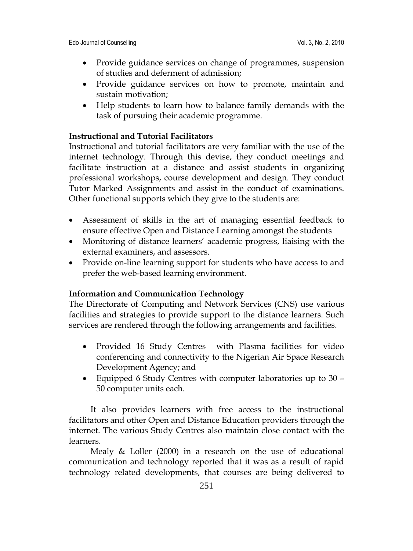- Provide guidance services on change of programmes, suspension of studies and deferment of admission;
- Provide guidance services on how to promote, maintain and sustain motivation;
- Help students to learn how to balance family demands with the task of pursuing their academic programme.

# **Instructional and Tutorial Facilitators**

Instructional and tutorial facilitators are very familiar with the use of the internet technology. Through this devise, they conduct meetings and facilitate instruction at a distance and assist students in organizing professional workshops, course development and design. They conduct Tutor Marked Assignments and assist in the conduct of examinations. Other functional supports which they give to the students are:

- Assessment of skills in the art of managing essential feedback to ensure effective Open and Distance Learning amongst the students
- Monitoring of distance learners' academic progress, liaising with the external examiners, and assessors.
- Provide on-line learning support for students who have access to and prefer the web-based learning environment.

# **Information and Communication Technology**

The Directorate of Computing and Network Services (CNS) use various facilities and strategies to provide support to the distance learners. Such services are rendered through the following arrangements and facilities.

- Provided 16 Study Centres with Plasma facilities for video conferencing and connectivity to the Nigerian Air Space Research Development Agency; and
- Equipped 6 Study Centres with computer laboratories up to 30 50 computer units each.

It also provides learners with free access to the instructional facilitators and other Open and Distance Education providers through the internet. The various Study Centres also maintain close contact with the learners.

Mealy & Loller (2000) in a research on the use of educational communication and technology reported that it was as a result of rapid technology related developments, that courses are being delivered to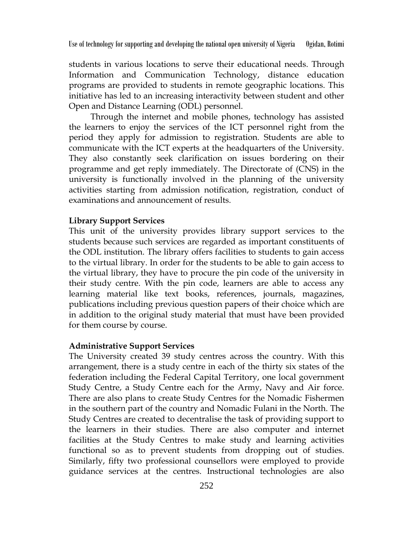students in various locations to serve their educational needs. Through Information and Communication Technology, distance education programs are provided to students in remote geographic locations. This initiative has led to an increasing interactivity between student and other Open and Distance Learning (ODL) personnel.

Through the internet and mobile phones, technology has assisted the learners to enjoy the services of the ICT personnel right from the period they apply for admission to registration. Students are able to communicate with the ICT experts at the headquarters of the University. They also constantly seek clarification on issues bordering on their programme and get reply immediately. The Directorate of (CNS) in the university is functionally involved in the planning of the university activities starting from admission notification, registration, conduct of examinations and announcement of results.

# **Library Support Services**

This unit of the university provides library support services to the students because such services are regarded as important constituents of the ODL institution. The library offers facilities to students to gain access to the virtual library. In order for the students to be able to gain access to the virtual library, they have to procure the pin code of the university in their study centre. With the pin code, learners are able to access any learning material like text books, references, journals, magazines, publications including previous question papers of their choice which are in addition to the original study material that must have been provided for them course by course.

# **Administrative Support Services**

The University created 39 study centres across the country. With this arrangement, there is a study centre in each of the thirty six states of the federation including the Federal Capital Territory, one local government Study Centre, a Study Centre each for the Army, Navy and Air force. There are also plans to create Study Centres for the Nomadic Fishermen in the southern part of the country and Nomadic Fulani in the North. The Study Centres are created to decentralise the task of providing support to the learners in their studies. There are also computer and internet facilities at the Study Centres to make study and learning activities functional so as to prevent students from dropping out of studies. Similarly, fifty two professional counsellors were employed to provide guidance services at the centres. Instructional technologies are also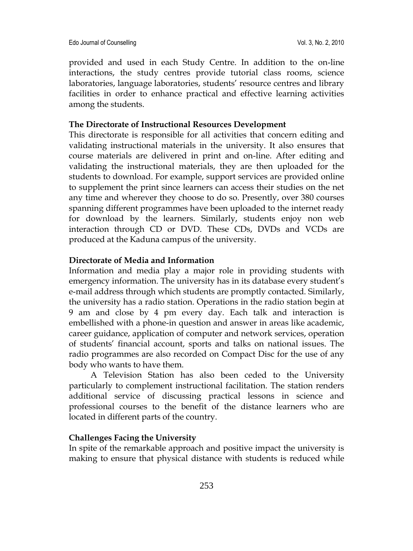provided and used in each Study Centre. In addition to the on-line interactions, the study centres provide tutorial class rooms, science laboratories, language laboratories, students' resource centres and library facilities in order to enhance practical and effective learning activities among the students.

# **The Directorate of Instructional Resources Development**

This directorate is responsible for all activities that concern editing and validating instructional materials in the university. It also ensures that course materials are delivered in print and on-line. After editing and validating the instructional materials, they are then uploaded for the students to download. For example, support services are provided online to supplement the print since learners can access their studies on the net any time and wherever they choose to do so. Presently, over 380 courses spanning different programmes have been uploaded to the internet ready for download by the learners. Similarly, students enjoy non web interaction through CD or DVD. These CDs, DVDs and VCDs are produced at the Kaduna campus of the university.

#### **Directorate of Media and Information**

Information and media play a major role in providing students with emergency information. The university has in its database every student's e-mail address through which students are promptly contacted. Similarly, the university has a radio station. Operations in the radio station begin at 9 am and close by 4 pm every day. Each talk and interaction is embellished with a phone-in question and answer in areas like academic, career guidance, application of computer and network services, operation of students" financial account, sports and talks on national issues. The radio programmes are also recorded on Compact Disc for the use of any body who wants to have them.

A Television Station has also been ceded to the University particularly to complement instructional facilitation. The station renders additional service of discussing practical lessons in science and professional courses to the benefit of the distance learners who are located in different parts of the country.

# **Challenges Facing the University**

In spite of the remarkable approach and positive impact the university is making to ensure that physical distance with students is reduced while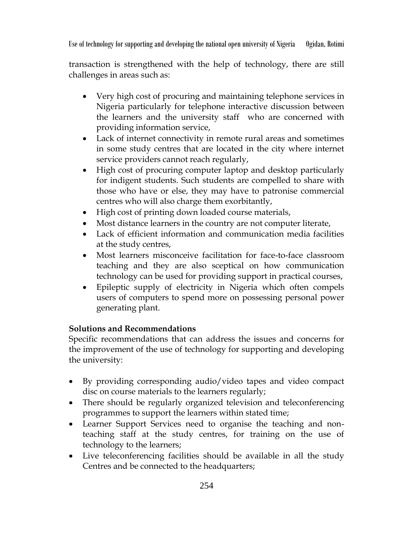transaction is strengthened with the help of technology, there are still challenges in areas such as:

- Very high cost of procuring and maintaining telephone services in Nigeria particularly for telephone interactive discussion between the learners and the university staff who are concerned with providing information service,
- Lack of internet connectivity in remote rural areas and sometimes in some study centres that are located in the city where internet service providers cannot reach regularly,
- High cost of procuring computer laptop and desktop particularly for indigent students. Such students are compelled to share with those who have or else, they may have to patronise commercial centres who will also charge them exorbitantly,
- High cost of printing down loaded course materials,
- Most distance learners in the country are not computer literate,
- Lack of efficient information and communication media facilities at the study centres,
- Most learners misconceive facilitation for face-to-face classroom teaching and they are also sceptical on how communication technology can be used for providing support in practical courses,
- Epileptic supply of electricity in Nigeria which often compels users of computers to spend more on possessing personal power generating plant.

# **Solutions and Recommendations**

Specific recommendations that can address the issues and concerns for the improvement of the use of technology for supporting and developing the university:

- By providing corresponding audio/video tapes and video compact disc on course materials to the learners regularly;
- There should be regularly organized television and teleconferencing programmes to support the learners within stated time;
- Learner Support Services need to organise the teaching and nonteaching staff at the study centres, for training on the use of technology to the learners;
- Live teleconferencing facilities should be available in all the study Centres and be connected to the headquarters;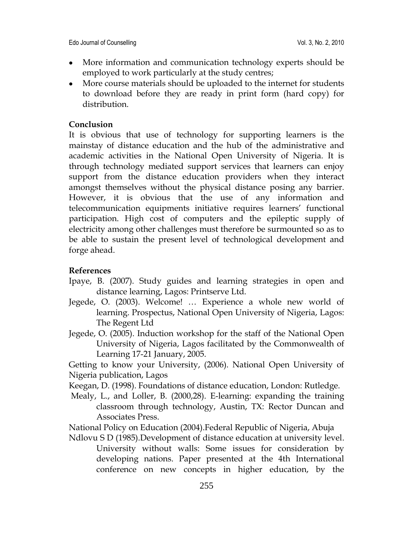- More information and communication technology experts should be employed to work particularly at the study centres;
- More course materials should be uploaded to the internet for students to download before they are ready in print form (hard copy) for distribution.

# **Conclusion**

It is obvious that use of technology for supporting learners is the mainstay of distance education and the hub of the administrative and academic activities in the National Open University of Nigeria. It is through technology mediated support services that learners can enjoy support from the distance education providers when they interact amongst themselves without the physical distance posing any barrier. However, it is obvious that the use of any information and telecommunication equipments initiative requires learners' functional participation. High cost of computers and the epileptic supply of electricity among other challenges must therefore be surmounted so as to be able to sustain the present level of technological development and forge ahead.

# **References**

- Ipaye, B. (2007). Study guides and learning strategies in open and distance learning, Lagos: Printserve Ltd.
- Jegede, O. (2003). Welcome! … Experience a whole new world of learning. Prospectus, National Open University of Nigeria, Lagos: The Regent Ltd
- Jegede, O. (2005). Induction workshop for the staff of the National Open University of Nigeria, Lagos facilitated by the Commonwealth of Learning 17-21 January, 2005.
- Getting to know your University, (2006). National Open University of Nigeria publication, Lagos
- Keegan, D. (1998). Foundations of distance education, London: Rutledge.
- Mealy, L., and Loller, B. (2000,28). E-learning: expanding the training classroom through technology, Austin, TX: Rector Duncan and Associates Press.

National Policy on Education (2004).Federal Republic of Nigeria, Abuja

Ndlovu S D (1985).Development of distance education at university level. University without walls: Some issues for consideration by developing nations. Paper presented at the 4th International conference on new concepts in higher education, by the